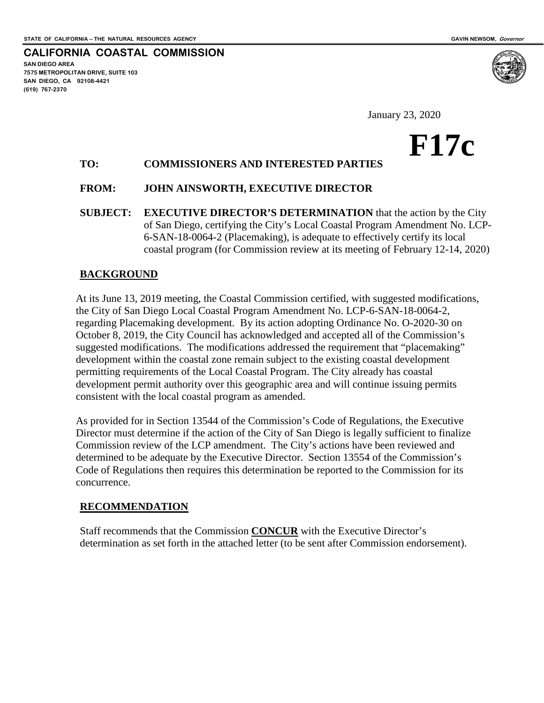**CALIFORNIA COASTAL COMMISSION**

**SAN DIEGO AREA 7575 METROPOLITAN DRIVE, SUITE 103 SAN DIEGO, CA 92108-4421 (619) 767-2370**



# **F17c**

# **TO: COMMISSIONERS AND INTERESTED PARTIES**

### **FROM: JOHN AINSWORTH, EXECUTIVE DIRECTOR**

**SUBJECT: EXECUTIVE DIRECTOR'S DETERMINATION** that the action by the City of San Diego, certifying the City's Local Coastal Program Amendment No. LCP-6-SAN-18-0064-2 (Placemaking), is adequate to effectively certify its local coastal program (for Commission review at its meeting of February 12-14, 2020)

### **BACKGROUND**

At its June 13, 2019 meeting, the Coastal Commission certified, with suggested modifications, the City of San Diego Local Coastal Program Amendment No. LCP-6-SAN-18-0064-2, regarding Placemaking development. By its action adopting Ordinance No. O-2020-30 on October 8, 2019, the City Council has acknowledged and accepted all of the Commission's suggested modifications. The modifications addressed the requirement that "placemaking" development within the coastal zone remain subject to the existing coastal development permitting requirements of the Local Coastal Program. The City already has coastal development permit authority over this geographic area and will continue issuing permits consistent with the local coastal program as amended.

As provided for in Section 13544 of the Commission's Code of Regulations, the Executive Director must determine if the action of the City of San Diego is legally sufficient to finalize Commission review of the LCP amendment. The City's actions have been reviewed and determined to be adequate by the Executive Director. Section 13554 of the Commission's Code of Regulations then requires this determination be reported to the Commission for its concurrence.

#### **RECOMMENDATION**

Staff recommends that the Commission **CONCUR** with the Executive Director's determination as set forth in the attached letter (to be sent after Commission endorsement).